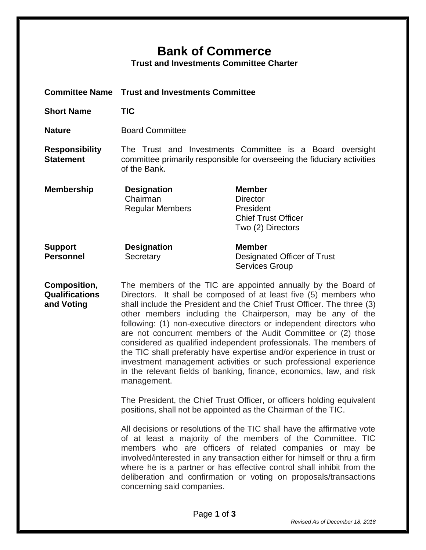## **Bank of Commerce**

**Trust and Investments Committee Charter**

|                                              | <b>Committee Name Trust and Investments Committee</b>                                                                                                                                                                                                                                                                                                                                                                                                                                                                                                                                                                                                                                                                                                                                                                                                                  |                                                                                                  |  |
|----------------------------------------------|------------------------------------------------------------------------------------------------------------------------------------------------------------------------------------------------------------------------------------------------------------------------------------------------------------------------------------------------------------------------------------------------------------------------------------------------------------------------------------------------------------------------------------------------------------------------------------------------------------------------------------------------------------------------------------------------------------------------------------------------------------------------------------------------------------------------------------------------------------------------|--------------------------------------------------------------------------------------------------|--|
| <b>Short Name</b>                            | <b>TIC</b>                                                                                                                                                                                                                                                                                                                                                                                                                                                                                                                                                                                                                                                                                                                                                                                                                                                             |                                                                                                  |  |
| <b>Nature</b>                                | <b>Board Committee</b>                                                                                                                                                                                                                                                                                                                                                                                                                                                                                                                                                                                                                                                                                                                                                                                                                                                 |                                                                                                  |  |
| <b>Responsibility</b><br><b>Statement</b>    | The Trust and Investments Committee is a Board oversight<br>committee primarily responsible for overseeing the fiduciary activities<br>of the Bank.                                                                                                                                                                                                                                                                                                                                                                                                                                                                                                                                                                                                                                                                                                                    |                                                                                                  |  |
| <b>Membership</b>                            | <b>Designation</b><br>Chairman<br><b>Regular Members</b>                                                                                                                                                                                                                                                                                                                                                                                                                                                                                                                                                                                                                                                                                                                                                                                                               | <b>Member</b><br><b>Director</b><br>President<br><b>Chief Trust Officer</b><br>Two (2) Directors |  |
| <b>Support</b><br><b>Personnel</b>           | <b>Designation</b><br>Secretary                                                                                                                                                                                                                                                                                                                                                                                                                                                                                                                                                                                                                                                                                                                                                                                                                                        | <b>Member</b><br>Designated Officer of Trust<br><b>Services Group</b>                            |  |
| Composition,<br>Qualifications<br>and Voting | The members of the TIC are appointed annually by the Board of<br>Directors. It shall be composed of at least five (5) members who<br>shall include the President and the Chief Trust Officer. The three (3)<br>other members including the Chairperson, may be any of the<br>following: (1) non-executive directors or independent directors who<br>are not concurrent members of the Audit Committee or (2) those<br>considered as qualified independent professionals. The members of<br>the TIC shall preferably have expertise and/or experience in trust or<br>investment management activities or such professional experience<br>in the relevant fields of banking, finance, economics, law, and risk<br>management.<br>The President, the Chief Trust Officer, or officers holding equivalent<br>positions, shall not be appointed as the Chairman of the TIC. |                                                                                                  |  |
|                                              |                                                                                                                                                                                                                                                                                                                                                                                                                                                                                                                                                                                                                                                                                                                                                                                                                                                                        |                                                                                                  |  |
|                                              | All decisions or resolutions of the TIC shall have the affirmative vote<br>of at least a majority of the members of the Committee. TIC<br>members who are officers of related companies or may be<br>involved/interested in any transaction either for himself or thru a firm<br>where he is a partner or has effective control shall inhibit from the<br>deliberation and confirmation or voting on proposals/transactions<br>concerning said companies.                                                                                                                                                                                                                                                                                                                                                                                                              |                                                                                                  |  |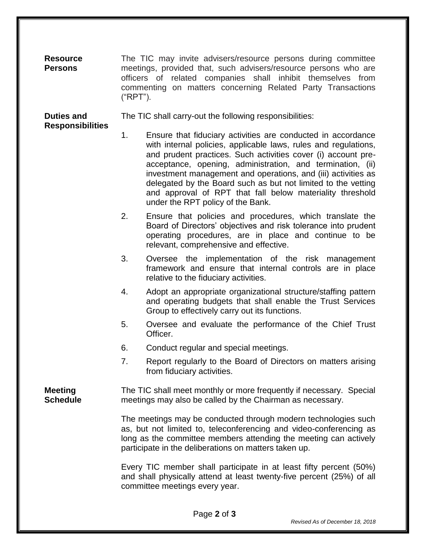| <b>Resource</b><br><b>Persons</b>            | The TIC may invite advisers/resource persons during committee<br>meetings, provided that, such advisers/resource persons who are<br>officers of related companies shall inhibit themselves from<br>commenting on matters concerning Related Party Transactions<br>("RPT"). |                                                                                                                                                                                                                                                                                                                                                                                                                                                                                                    |  |
|----------------------------------------------|----------------------------------------------------------------------------------------------------------------------------------------------------------------------------------------------------------------------------------------------------------------------------|----------------------------------------------------------------------------------------------------------------------------------------------------------------------------------------------------------------------------------------------------------------------------------------------------------------------------------------------------------------------------------------------------------------------------------------------------------------------------------------------------|--|
| <b>Duties and</b><br><b>Responsibilities</b> | The TIC shall carry-out the following responsibilities:                                                                                                                                                                                                                    |                                                                                                                                                                                                                                                                                                                                                                                                                                                                                                    |  |
|                                              | 1.                                                                                                                                                                                                                                                                         | Ensure that fiduciary activities are conducted in accordance<br>with internal policies, applicable laws, rules and regulations,<br>and prudent practices. Such activities cover (i) account pre-<br>acceptance, opening, administration, and termination, (ii)<br>investment management and operations, and (iii) activities as<br>delegated by the Board such as but not limited to the vetting<br>and approval of RPT that fall below materiality threshold<br>under the RPT policy of the Bank. |  |
|                                              | 2.                                                                                                                                                                                                                                                                         | Ensure that policies and procedures, which translate the<br>Board of Directors' objectives and risk tolerance into prudent<br>operating procedures, are in place and continue to be<br>relevant, comprehensive and effective.                                                                                                                                                                                                                                                                      |  |
|                                              | 3.                                                                                                                                                                                                                                                                         | Oversee the implementation of the risk management<br>framework and ensure that internal controls are in place<br>relative to the fiduciary activities.                                                                                                                                                                                                                                                                                                                                             |  |
|                                              | 4.                                                                                                                                                                                                                                                                         | Adopt an appropriate organizational structure/staffing pattern<br>and operating budgets that shall enable the Trust Services<br>Group to effectively carry out its functions.                                                                                                                                                                                                                                                                                                                      |  |
|                                              | 5.                                                                                                                                                                                                                                                                         | Oversee and evaluate the performance of the Chief Trust<br>Officer.                                                                                                                                                                                                                                                                                                                                                                                                                                |  |
|                                              | 6.                                                                                                                                                                                                                                                                         | Conduct regular and special meetings.                                                                                                                                                                                                                                                                                                                                                                                                                                                              |  |
|                                              | 7.                                                                                                                                                                                                                                                                         | Report regularly to the Board of Directors on matters arising<br>from fiduciary activities.                                                                                                                                                                                                                                                                                                                                                                                                        |  |
| <b>Meeting</b><br><b>Schedule</b>            | The TIC shall meet monthly or more frequently if necessary. Special<br>meetings may also be called by the Chairman as necessary.                                                                                                                                           |                                                                                                                                                                                                                                                                                                                                                                                                                                                                                                    |  |
|                                              | The meetings may be conducted through modern technologies such<br>as, but not limited to, teleconferencing and video-conferencing as<br>long as the committee members attending the meeting can actively<br>participate in the deliberations on matters taken up.          |                                                                                                                                                                                                                                                                                                                                                                                                                                                                                                    |  |
|                                              |                                                                                                                                                                                                                                                                            | Every TIC member shall participate in at least fifty percent (50%)<br>and shall physically attend at least twenty-five percent (25%) of all<br>committee meetings every year.                                                                                                                                                                                                                                                                                                                      |  |